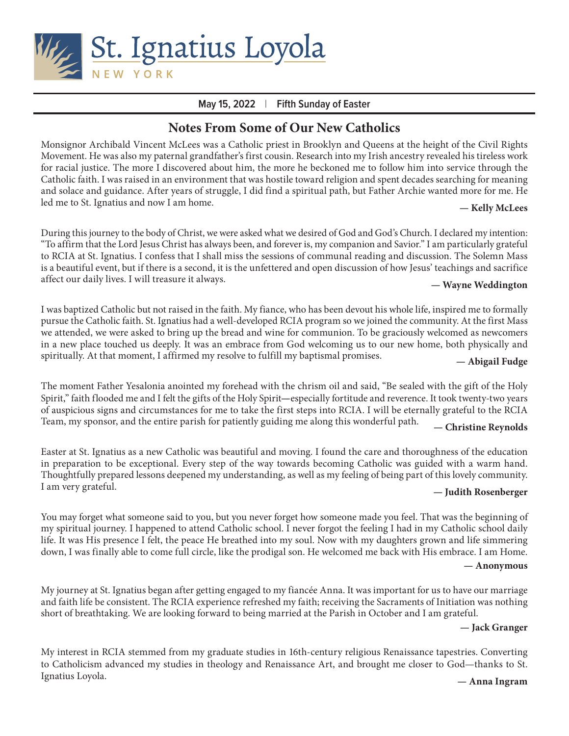

### **May 15, 2022** | **Fifth Sunday of Easter**

# **Notes From Some of Our New Catholics**

Monsignor Archibald Vincent McLees was a Catholic priest in Brooklyn and Queens at the height of the Civil Rights Movement. He was also my paternal grandfather's first cousin. Research into my Irish ancestry revealed his tireless work for racial justice. The more I discovered about him, the more he beckoned me to follow him into service through the Catholic faith. I was raised in an environment that was hostile toward religion and spent decades searching for meaning and solace and guidance. After years of struggle, I did find a spiritual path, but Father Archie wanted more for me. He led me to St. Ignatius and now I am home. **— Kelly McLees**

During this journey to the body of Christ, we were asked what we desired of God and God's Church. I declared my intention: "To affirm that the Lord Jesus Christ has always been, and forever is, my companion and Savior." I am particularly grateful to RCIA at St. Ignatius. I confess that I shall miss the sessions of communal reading and discussion. The Solemn Mass is a beautiful event, but if there is a second, it is the unfettered and open discussion of how Jesus' teachings and sacrifice affect our daily lives. I will treasure it always. **— Wayne Weddington**

I was baptized Catholic but not raised in the faith. My fiance, who has been devout his whole life, inspired me to formally pursue the Catholic faith. St. Ignatius had a well-developed RCIA program so we joined the community. At the first Mass we attended, we were asked to bring up the bread and wine for communion. To be graciously welcomed as newcomers in a new place touched us deeply. It was an embrace from God welcoming us to our new home, both physically and spiritually. At that moment, I affirmed my resolve to fulfill my baptismal promises. **— Abigail Fudge**

The moment Father Yesalonia anointed my forehead with the chrism oil and said, "Be sealed with the gift of the Holy Spirit," faith flooded me and I felt the gifts of the Holy Spirit**—**especially fortitude and reverence. It took twenty-two years of auspicious signs and circumstances for me to take the first steps into RCIA. I will be eternally grateful to the RCIA Team, my sponsor, and the entire parish for patiently guiding me along this wonderful path. **— Christine Reynolds**

Easter at St. Ignatius as a new Catholic was beautiful and moving. I found the care and thoroughness of the education in preparation to be exceptional. Every step of the way towards becoming Catholic was guided with a warm hand. Thoughtfully prepared lessons deepened my understanding, as well as my feeling of being part of this lovely community. I am very grateful. **— Judith Rosenberger**

You may forget what someone said to you, but you never forget how someone made you feel. That was the beginning of my spiritual journey. I happened to attend Catholic school. I never forgot the feeling I had in my Catholic school daily life. It was His presence I felt, the peace He breathed into my soul. Now with my daughters grown and life simmering down, I was finally able to come full circle, like the prodigal son. He welcomed me back with His embrace. I am Home. **— Anonymous**

My journey at St. Ignatius began after getting engaged to my fiancée Anna. It was important for us to have our marriage and faith life be consistent. The RCIA experience refreshed my faith; receiving the Sacraments of Initiation was nothing short of breathtaking. We are looking forward to being married at the Parish in October and I am grateful.

### **— Jack Granger**

My interest in RCIA stemmed from my graduate studies in 16th-century religious Renaissance tapestries. Converting to Catholicism advanced my studies in theology and Renaissance Art, and brought me closer to God—thanks to St. Ignatius Loyola. **— Anna Ingram**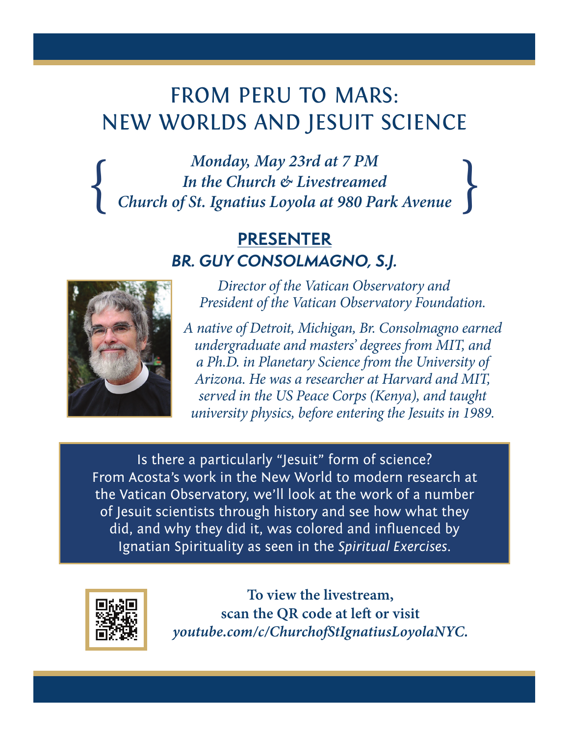# FROM PERU TO MARS: NEW WORLDS AND JESUIT SCIENCE

*Monday, May 23rd at 7 PM In the Church & Livestreamed*<br>*Church of St. Ignatius Loyola at 980 Park Avenue* 

> **PRESENTER** *BR. GUY CONSOLMAGNO, S.J.*



*Director of the Vatican Observatory and President of the Vatican Observatory Foundation.* 

*A native of Detroit, Michigan, Br. Consolmagno earned undergraduate and masters' degrees from MIT, and a Ph.D. in Planetary Science from the University of Arizona. He was a researcher at Harvard and MIT, served in the US Peace Corps (Kenya), and taught university physics, before entering the Jesuits in 1989.*

Is there a particularly "Jesuit" form of science? From Acosta's work in the New World to modern research at the Vatican Observatory, we'll look at the work of a number of Jesuit scientists through history and see how what they did, and why they did it, was colored and influenced by Ignatian Spirituality as seen in the *Spiritual Exercises*.



**To view the livestream, scan the QR code at left or visit**  *youtube.com/c/ChurchofStIgnatiusLoyolaNYC.*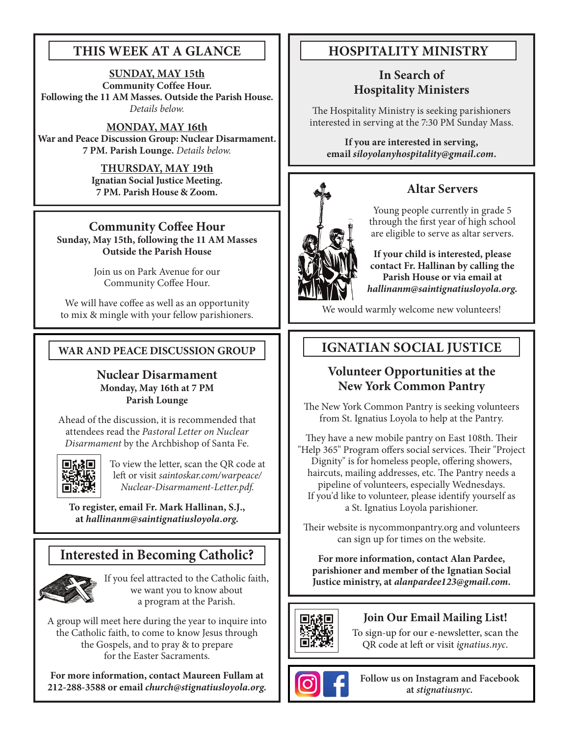# **THIS WEEK AT A GLANCE**

**SUNDAY, MAY 15th Community Coffee Hour. Following the 11 AM Masses. Outside the Parish House.**  *Details below.*

## **MONDAY, MAY 16th**

**War and Peace Discussion Group: Nuclear Disarmament. 7 PM. Parish Lounge.** *Details below.*

> **THURSDAY, MAY 19th Ignatian Social Justice Meeting. 7 PM. Parish House & Zoom.**

# **Community Coffee Hour**

**Sunday, May 15th, following the 11 AM Masses Outside the Parish House**

> Join us on Park Avenue for our Community Coffee Hour.

We will have coffee as well as an opportunity to mix & mingle with your fellow parishioners.

# **WAR AND PEACE DISCUSSION GROUP**

## **Nuclear Disarmament Monday, May 16th at 7 PM Parish Lounge**

Ahead of the discussion, it is recommended that attendees read the *Pastoral Letter on Nuclear Disarmament* by the Archbishop of Santa Fe.



To view the letter, scan the QR code at left or visit *saintoskar.com/warpeace/ Nuclear-Disarmament-Letter.pdf.*

**To register, email Fr. Mark Hallinan, S.J., at** *hallinanm@saintignatiusloyola.org***.**

# **Interested in Becoming Catholic?**



If you feel attracted to the Catholic faith, we want you to know about a program at the Parish.

A group will meet here during the year to inquire into the Catholic faith, to come to know Jesus through the Gospels, and to pray & to prepare for the Easter Sacraments.

**For more information, contact Maureen Fullam at 212-288-3588 or email** *church@stignatiusloyola.org.*

# **HOSPITALITY MINISTRY**

# **In Search of Hospitality Ministers**

The Hospitality Ministry is seeking parishioners interested in serving at the 7:30 PM Sunday Mass.

**If you are interested in serving, email** *siloyolanyhospitality@gmail.com***.**



# **Altar Servers**

Young people currently in grade 5 through the first year of high school are eligible to serve as altar servers.

**If your child is interested, please contact Fr. Hallinan by calling the Parish House or via email at**  *hallinanm@saintignatiusloyola.org.*

We would warmly welcome new volunteers!

# **IGNATIAN SOCIAL JUSTICE**

# **Volunteer Opportunities at the New York Common Pantry**

The New York Common Pantry is seeking volunteers from St. Ignatius Loyola to help at the Pantry.

They have a new mobile pantry on East 108th. Their "Help 365" Program offers social services. Their "Project Dignity" is for homeless people, offering showers, haircuts, mailing addresses, etc. The Pantry needs a pipeline of volunteers, especially Wednesdays. If you'd like to volunteer, please identify yourself as a St. Ignatius Loyola parishioner.

Their website is nycommonpantry.org and volunteers can sign up for times on the website.

**For more information, contact Alan Pardee, parishioner and member of the Ignatian Social Justice ministry, at** *alanpardee123@gmail.com***.**



# **Join Our Email Mailing List!**

To sign-up for our e-newsletter, scan the QR code at left or visit *ignatius.nyc.*



**Follow us on Instagram and Facebook at** *stignatiusnyc.*